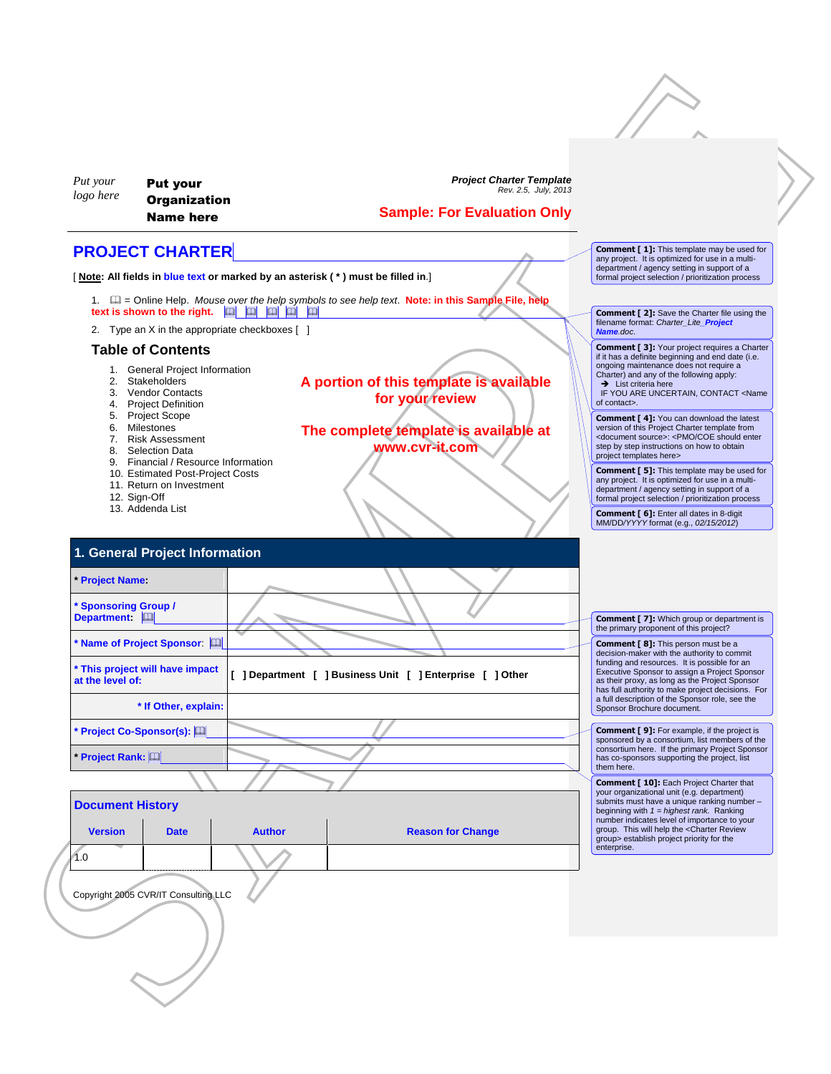| Put your<br>logo here                                                                                               | <b>Put your</b><br><b>Organization</b><br><b>Name here</b>                                                                                | <b>Project Charter Template</b><br>Rev. 2.5, July, 2013<br><b>Sample: For Evaluation Only</b>                                                                                                                                                           |                                                                                                                                                                                                                                                        |
|---------------------------------------------------------------------------------------------------------------------|-------------------------------------------------------------------------------------------------------------------------------------------|---------------------------------------------------------------------------------------------------------------------------------------------------------------------------------------------------------------------------------------------------------|--------------------------------------------------------------------------------------------------------------------------------------------------------------------------------------------------------------------------------------------------------|
|                                                                                                                     | <b>PROJECT CHARTER</b>                                                                                                                    |                                                                                                                                                                                                                                                         | <b>Comment [1]:</b> This template may be used for                                                                                                                                                                                                      |
|                                                                                                                     |                                                                                                                                           | [Note: All fields in blue text or marked by an asterisk (*) must be filled in.]                                                                                                                                                                         | any project. It is optimized for use in a multi-<br>department / agency setting in support of a<br>formal project selection / prioritization process                                                                                                   |
|                                                                                                                     |                                                                                                                                           | 1. $\Box$ = Online Help. Mouse over the help symbols to see help text. Note: in this Sample File, help                                                                                                                                                  |                                                                                                                                                                                                                                                        |
|                                                                                                                     | text is shown to the right. $\boxed{m}$ $\boxed{m}$ $\boxed{m}$ $\boxed{m}$ $\boxed{m}$<br>2. Type an X in the appropriate checkboxes [ ] |                                                                                                                                                                                                                                                         | <b>Comment [2]:</b> Save the Charter file using the<br>filename format: Charter Lite Project<br>Name.doc.                                                                                                                                              |
|                                                                                                                     | <b>Table of Contents</b>                                                                                                                  |                                                                                                                                                                                                                                                         | <b>Comment [3]:</b> Your project requires a Charter<br>if it has a definite beginning and end date (i.e.                                                                                                                                               |
|                                                                                                                     | 1. General Project Information<br>2. Stakeholders<br>3. Vendor Contacts<br>4. Project Definition                                          | A portion of this template is available<br>for your review                                                                                                                                                                                              | ongoing maintenance does not require a<br>Charter) and any of the following apply:<br>$\rightarrow$ List criteria here<br>IF YOU ARE UNCERTAIN, CONTACT <name<br>of contact&gt;.</name<br>                                                             |
|                                                                                                                     | 5. Project Scope<br>6. Milestones<br>7. Risk Assessment<br>8. Selection Data                                                              | The complete template is available at<br>www.cvr-it.com                                                                                                                                                                                                 | <b>Comment [4]:</b> You can download the latest<br>version of this Project Charter template from<br><document source="">: <pmo coe="" enter<br="" should="">step by step instructions on how to obtain<br/>project templates here&gt;</pmo></document> |
| 9. Financial / Resource Information<br>10. Estimated Post-Project Costs<br>11. Return on Investment<br>12. Sign-Off |                                                                                                                                           |                                                                                                                                                                                                                                                         | <b>Comment [ 5]:</b> This template may be used for<br>any project. It is optimized for use in a multi-<br>department / agency setting in support of a<br>formal project selection / prioritization process                                             |
|                                                                                                                     | 13. Addenda List                                                                                                                          |                                                                                                                                                                                                                                                         | <b>Comment [ 6]:</b> Enter all dates in 8-digit<br>MM/DD/YYYY format (e.g., 02/15/2012)                                                                                                                                                                |
|                                                                                                                     | 1. General Project Information                                                                                                            |                                                                                                                                                                                                                                                         |                                                                                                                                                                                                                                                        |
| <b>Project Name:</b>                                                                                                |                                                                                                                                           |                                                                                                                                                                                                                                                         |                                                                                                                                                                                                                                                        |
| <b>Sponsoring Group /</b>                                                                                           |                                                                                                                                           |                                                                                                                                                                                                                                                         |                                                                                                                                                                                                                                                        |
| Department: [1]                                                                                                     |                                                                                                                                           |                                                                                                                                                                                                                                                         | <b>Comment [7]:</b> Which group or department is<br>the primary proponent of this project?                                                                                                                                                             |
|                                                                                                                     | Name of Project Sponsor: [11]                                                                                                             |                                                                                                                                                                                                                                                         | <b>Comment [ 8]:</b> This person must be a<br>decision-maker with the authority to commit                                                                                                                                                              |
| at the level of:                                                                                                    | This project will have impact<br>[ ] Department [ ] Business Unit [ ] Enterprise [ ] Other                                                | funding and resources. It is possible for an<br>Executive Sponsor to assign a Project Sponsor<br>as their proxy, as long as the Project Sponsor<br>has full authority to make project decisions. For<br>a full description of the Sponsor role, see the |                                                                                                                                                                                                                                                        |
|                                                                                                                     | * If Other, explain:                                                                                                                      |                                                                                                                                                                                                                                                         | Sponsor Brochure document.                                                                                                                                                                                                                             |
|                                                                                                                     | Project Co-Sponsor(s): [                                                                                                                  |                                                                                                                                                                                                                                                         | <b>Comment [9]:</b> For example, if the project is<br>sponsored by a consortium, list members of the<br>consortium here. If the primary Project Sponsor                                                                                                |
| Project Rank: [11]                                                                                                  |                                                                                                                                           |                                                                                                                                                                                                                                                         | has co-sponsors supporting the project, list<br>them here.                                                                                                                                                                                             |
|                                                                                                                     |                                                                                                                                           |                                                                                                                                                                                                                                                         | <b>Comment [ 10]:</b> Each Project Charter that<br>your organizational unit (e.g. department)<br>submits must have a unique ranking number -                                                                                                           |
| <b>Document History</b>                                                                                             |                                                                                                                                           |                                                                                                                                                                                                                                                         | beginning with $1 =$ highest rank. Ranking<br>number indicates level of importance to your                                                                                                                                                             |
| <b>Version</b>                                                                                                      | <b>Author</b><br><b>Date</b>                                                                                                              | <b>Reason for Change</b>                                                                                                                                                                                                                                | group. This will help the <charter review<br="">group&gt; establish project priority for the<br/>enterprise.</charter>                                                                                                                                 |
| 1.0                                                                                                                 |                                                                                                                                           |                                                                                                                                                                                                                                                         |                                                                                                                                                                                                                                                        |
|                                                                                                                     | Copyright 2005 CVR/IT Consulting LLC                                                                                                      |                                                                                                                                                                                                                                                         |                                                                                                                                                                                                                                                        |
|                                                                                                                     |                                                                                                                                           |                                                                                                                                                                                                                                                         |                                                                                                                                                                                                                                                        |
|                                                                                                                     |                                                                                                                                           |                                                                                                                                                                                                                                                         |                                                                                                                                                                                                                                                        |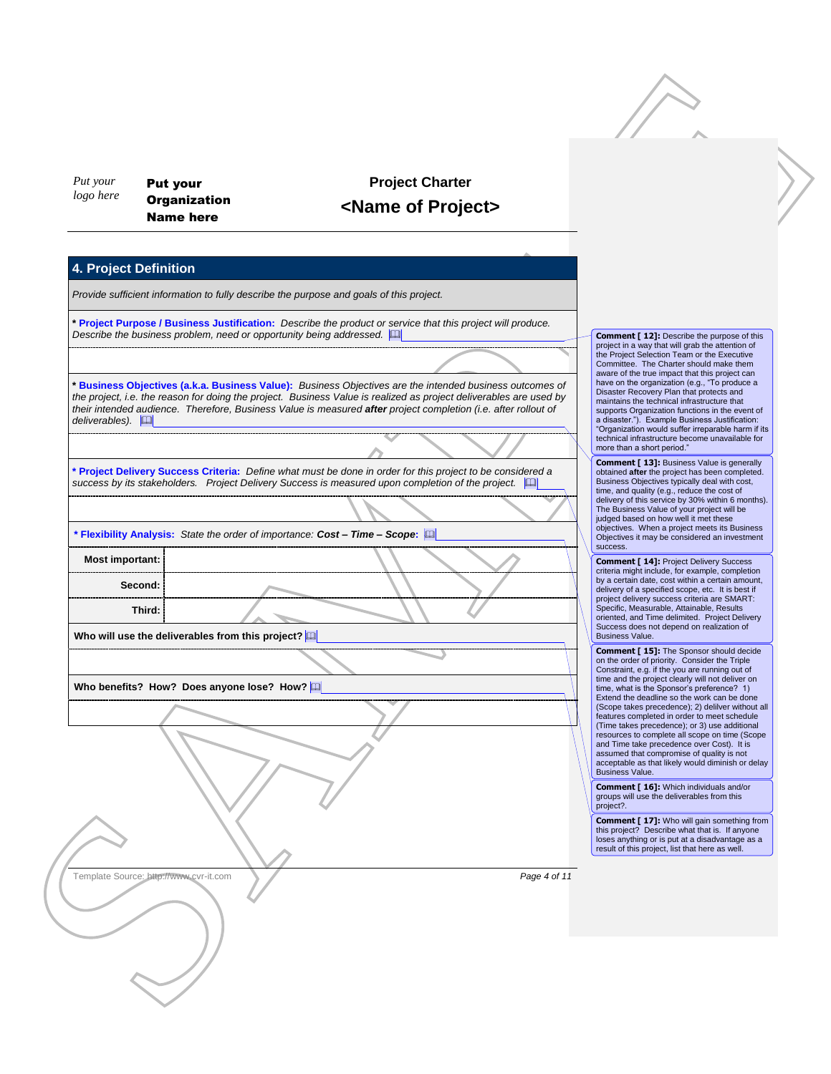*Put your logo here* Put your **Organization** Name here

## **Project Charter <Name of Project>**

## **4. Project Definition**

*Provide sufficient information to fully describe the purpose and goals of this project.*

**\* Project Purpose / Business Justification:** *Describe the product or service that this project will produce. Describe the business problem, need or opportunity being addressed.* 

SAMPLE **\* Business Objectives (a.k.a. Business Value):** *Business Objectives are the intended business outcomes of the project, i.e. the reason for doing the project. Business Value is realized as project deliverables are used by their intended audience. Therefore, Business Value is measured after project completion (i.e. after rollout of deliverables).* 

**\* Project Delivery Success Criteria:** *Define what must be done in order for this project to be considered a*  success by its stakeholders. Project Delivery Success is measured upon completion of the project.  $\Box$ 

**\* Flexibility Analysis:** *State the order of importance: Cost – Time – Scope***:** 

**Most important: Second: Third:**

**Who will use the deliverables from this project?** 

**Who benefits? How? Does anyone lose? How?** 

Committee. The Charter should make them aware of the true impact that this project can have on the organization (e.g., "To produce a Disaster Recovery Plan that protects and maintains the technical infrastructure that supports Organization functions in the event of a disaster."). Example Business Justification: "Organization would suffer irreparable harm if its technical infrastructure become unavailable for more than a short period." **Comment [ 13]:** Business Value is generally

**Comment [ 12]:** Describe the purpose of this project in a way that will grab the attention of the Project Selection Team or the Executive

obtained **after** the project has been completed. Business Objectives typically deal with cost, time, and quality (e.g., reduce the cost of delivery of this service by 30% within 6 months). The Business Value of your project will be judged based on how well it met these objectives. When a project meets its Business Objectives it may be considered an investment success.

**Comment [ 14]:** Project Delivery Success criteria might include, for example, completion by a certain date, cost within a certain amount, delivery of a specified scope, etc. It is best if project delivery success criteria are SMART: Specific, Measurable, Attainable, Results oriented, and Time delimited. Project Delivery Success does not depend on realization of Business Value.

**Comment [ 15]:** The Sponsor should decide on the order of priority. Consider the Triple Constraint, e.g. if the you are running out of time and the project clearly will not deliver on time, what is the Sponsor's preference? 1) Extend the deadline so the work can be done (Scope takes precedence); 2) delilver without all features completed in order to meet schedule (Time takes precedence); or 3) use additional resources to complete all scope on time (Scope and Time take precedence over Cost). It is assumed that compromise of quality is not acceptable as that likely would diminish or delay Business Value.

**Comment [ 16]:** Which individuals and/or groups will use the deliverables from this project?.

**Comment [ 17]:** Who will gain something from this project? Describe what that is. If anyone loses anything or is put at a disadvantage as a result of this project, list that here as well.

Template Source: http://www.cvr-it.com *Page 4 of 11*